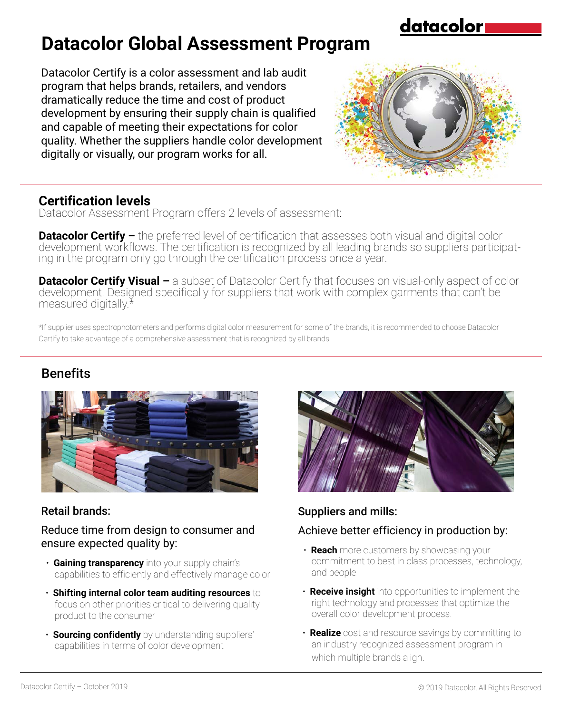datacolor

# **Datacolor Global Assessment Program**

Datacolor Certify is a color assessment and lab audit program that helps brands, retailers, and vendors dramatically reduce the time and cost of product development by ensuring their supply chain is qualified and capable of meeting their expectations for color quality. Whether the suppliers handle color development digitally or visually, our program works for all.

### **Certification levels**

Datacolor Assessment Program offers 2 levels of assessment:

**Datacolor Certify –** the preferred level of certification that assesses both visual and digital color development workflows. The certification is recognized by all leading brands so suppliers participating in the program only go through the certification process once a year.

**Datacolor Certify Visual –** a subset of Datacolor Certify that focuses on visual-only aspect of color development. Designed specifically for suppliers that work with complex garments that can't be measured digitally.\*

\*If supplier uses spectrophotometers and performs digital color measurement for some of the brands, it is recommended to choose Datacolor Certify to take advantage of a comprehensive assessment that is recognized by all brands.

### Benefits



### Retail brands:

#### Reduce time from design to consumer and ensure expected quality by:

- **Gaining transparency** into your supply chain's capabilities to efficiently and effectively manage color
- **Shifting internal color team auditing resources** to focus on other priorities critical to delivering quality product to the consumer
- **Sourcing confidently** by understanding suppliers' capabilities in terms of color development



### Suppliers and mills:

### Achieve better efficiency in production by:

- **Reach** more customers by showcasing your commitment to best in class processes, technology, and people
- **Receive insight** into opportunities to implement the right technology and processes that optimize the overall color development process.
- **Realize** cost and resource savings by committing to an industry recognized assessment program in which multiple brands align.